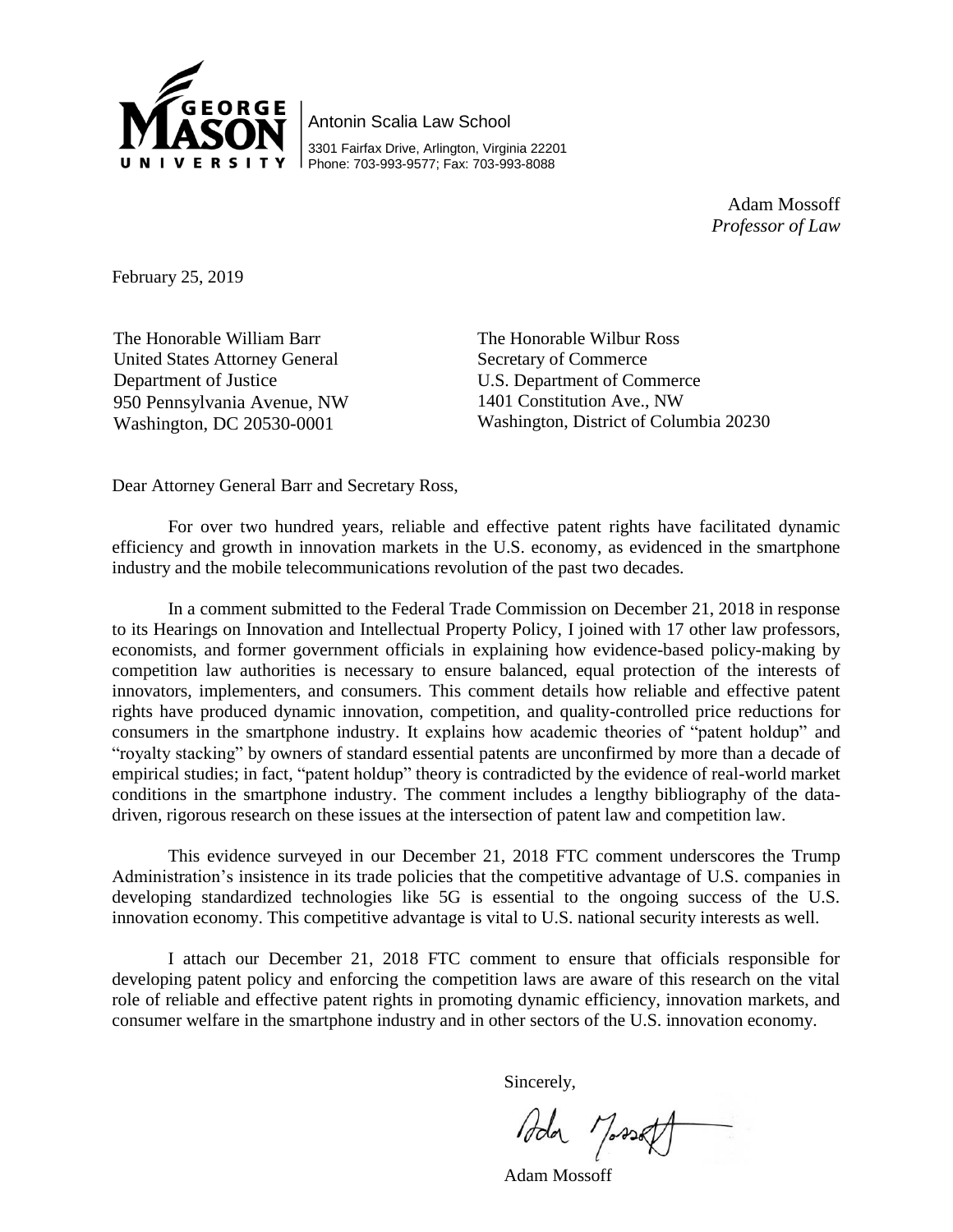

Antonin Scalia Law School 3301 Fairfax Drive, Arlington, Virginia 22201 Phone: 703-993-9577; Fax: 703-993-8088

> Adam Mossoff *Professor of Law*

February 25, 2019

The Honorable William Barr United States Attorney General Department of Justice 950 Pennsylvania Avenue, NW Washington, DC 20530-0001

The Honorable Wilbur Ross Secretary of Commerce U.S. Department of Commerce 1401 Constitution Ave., NW Washington, District of Columbia 20230

Dear Attorney General Barr and Secretary Ross,

For over two hundred years, reliable and effective patent rights have facilitated dynamic efficiency and growth in innovation markets in the U.S. economy, as evidenced in the smartphone industry and the mobile telecommunications revolution of the past two decades.

In a comment submitted to the Federal Trade Commission on December 21, 2018 in response to its Hearings on Innovation and Intellectual Property Policy, I joined with 17 other law professors, economists, and former government officials in explaining how evidence-based policy-making by competition law authorities is necessary to ensure balanced, equal protection of the interests of innovators, implementers, and consumers. This comment details how reliable and effective patent rights have produced dynamic innovation, competition, and quality-controlled price reductions for consumers in the smartphone industry. It explains how academic theories of "patent holdup" and "royalty stacking" by owners of standard essential patents are unconfirmed by more than a decade of empirical studies; in fact, "patent holdup" theory is contradicted by the evidence of real-world market conditions in the smartphone industry. The comment includes a lengthy bibliography of the datadriven, rigorous research on these issues at the intersection of patent law and competition law.

This evidence surveyed in our December 21, 2018 FTC comment underscores the Trump Administration's insistence in its trade policies that the competitive advantage of U.S. companies in developing standardized technologies like 5G is essential to the ongoing success of the U.S. innovation economy. This competitive advantage is vital to U.S. national security interests as well.

I attach our December 21, 2018 FTC comment to ensure that officials responsible for developing patent policy and enforcing the competition laws are aware of this research on the vital role of reliable and effective patent rights in promoting dynamic efficiency, innovation markets, and consumer welfare in the smartphone industry and in other sectors of the U.S. innovation economy.

Sincerely,

Ada Massett

Adam Mossoff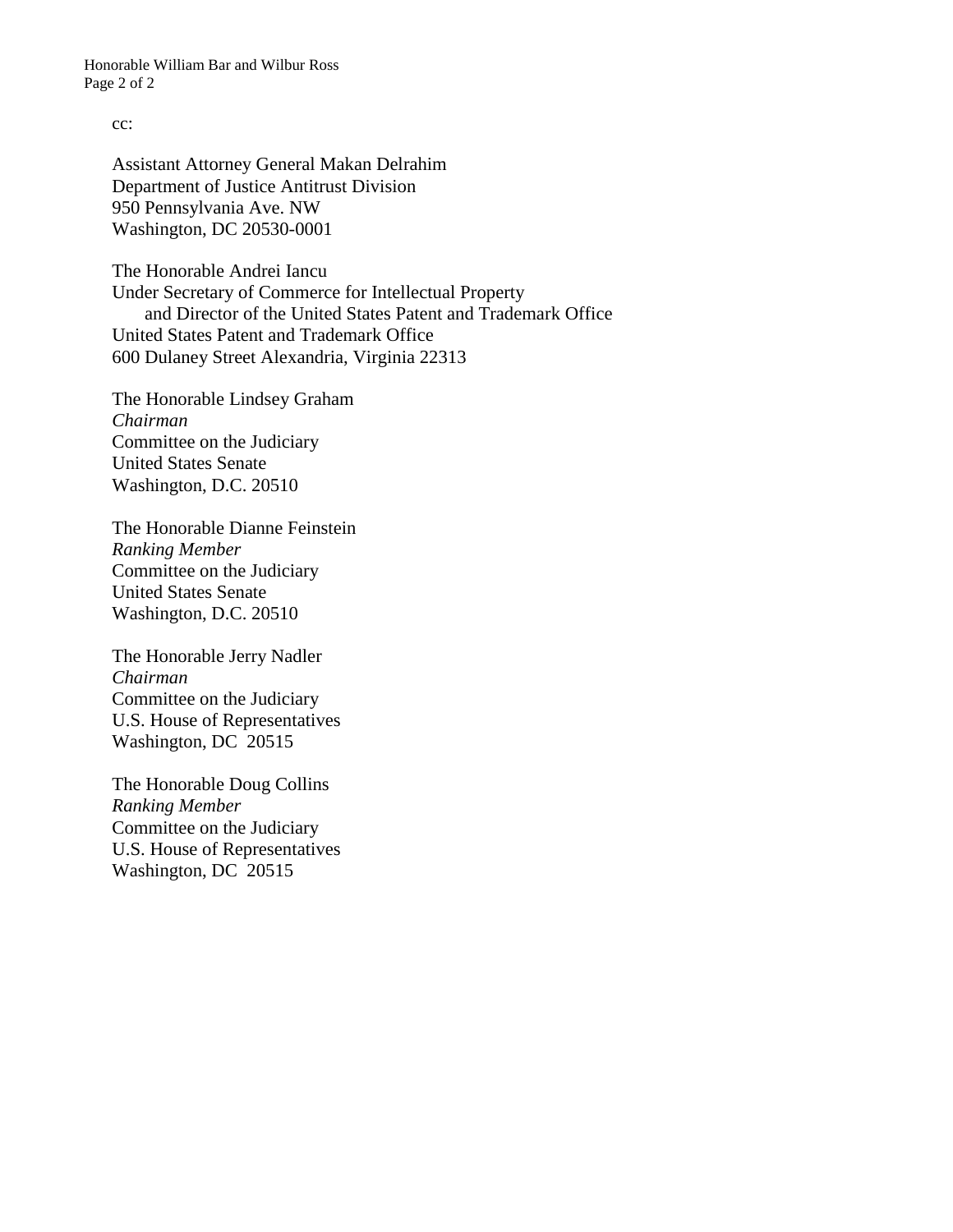Honorable William Bar and Wilbur Ross Page 2 of 2

## cc:

Assistant Attorney General Makan Delrahim Department of Justice Antitrust Division 950 Pennsylvania Ave. NW Washington, DC 20530-0001

The Honorable Andrei Iancu Under Secretary of Commerce for Intellectual Property and Director of the United States Patent and Trademark Office United States Patent and Trademark Office 600 Dulaney Street Alexandria, Virginia 22313

The Honorable Lindsey Graham *Chairman* Committee on the Judiciary United States Senate Washington, D.C. 20510

The Honorable Dianne Feinstein *Ranking Member* Committee on the Judiciary United States Senate Washington, D.C. 20510

The Honorable Jerry Nadler *Chairman* Committee on the Judiciary U.S. House of Representatives Washington, DC 20515

The Honorable Doug Collins *Ranking Member* Committee on the Judiciary U.S. House of Representatives Washington, DC 20515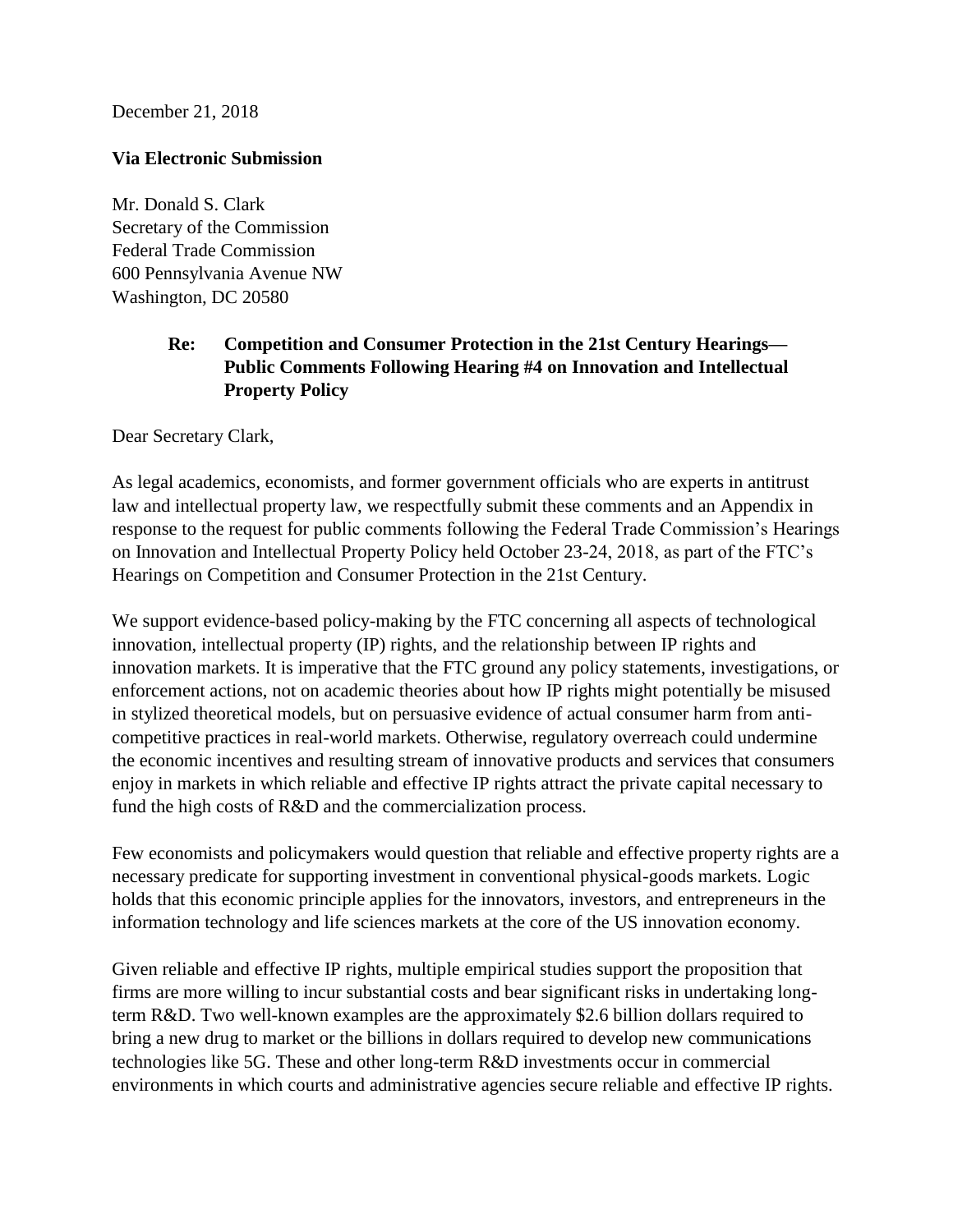December 21, 2018

## **Via Electronic Submission**

Mr. Donald S. Clark Secretary of the Commission Federal Trade Commission 600 Pennsylvania Avenue NW Washington, DC 20580

## **Re: Competition and Consumer Protection in the 21st Century Hearings— Public Comments Following Hearing #4 on Innovation and Intellectual Property Policy**

Dear Secretary Clark,

As legal academics, economists, and former government officials who are experts in antitrust law and intellectual property law, we respectfully submit these comments and an Appendix in response to the request for public comments following the Federal Trade Commission's Hearings on Innovation and Intellectual Property Policy held October 23-24, 2018, as part of the FTC's Hearings on Competition and Consumer Protection in the 21st Century.

We support evidence-based policy-making by the FTC concerning all aspects of technological innovation, intellectual property (IP) rights, and the relationship between IP rights and innovation markets. It is imperative that the FTC ground any policy statements, investigations, or enforcement actions, not on academic theories about how IP rights might potentially be misused in stylized theoretical models, but on persuasive evidence of actual consumer harm from anticompetitive practices in real-world markets. Otherwise, regulatory overreach could undermine the economic incentives and resulting stream of innovative products and services that consumers enjoy in markets in which reliable and effective IP rights attract the private capital necessary to fund the high costs of R&D and the commercialization process.

Few economists and policymakers would question that reliable and effective property rights are a necessary predicate for supporting investment in conventional physical-goods markets. Logic holds that this economic principle applies for the innovators, investors, and entrepreneurs in the information technology and life sciences markets at the core of the US innovation economy.

Given reliable and effective IP rights, multiple empirical studies support the proposition that firms are more willing to incur substantial costs and bear significant risks in undertaking longterm R&D. Two well-known examples are the approximately \$2.6 billion dollars required to bring a new drug to market or the billions in dollars required to develop new communications technologies like 5G. These and other long-term R&D investments occur in commercial environments in which courts and administrative agencies secure reliable and effective IP rights.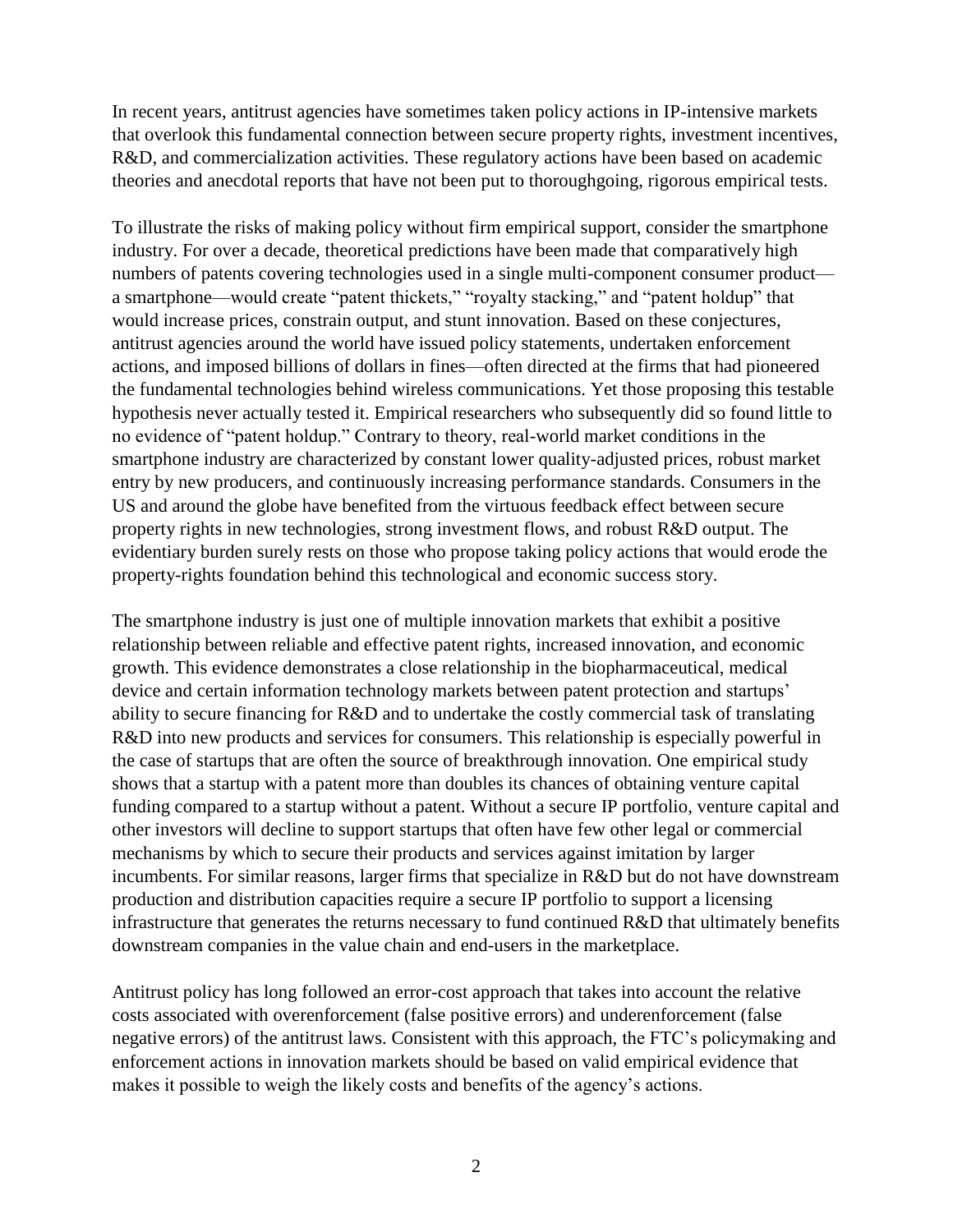In recent years, antitrust agencies have sometimes taken policy actions in IP-intensive markets that overlook this fundamental connection between secure property rights, investment incentives, R&D, and commercialization activities. These regulatory actions have been based on academic theories and anecdotal reports that have not been put to thoroughgoing, rigorous empirical tests.

To illustrate the risks of making policy without firm empirical support, consider the smartphone industry. For over a decade, theoretical predictions have been made that comparatively high numbers of patents covering technologies used in a single multi-component consumer product a smartphone—would create "patent thickets," "royalty stacking," and "patent holdup" that would increase prices, constrain output, and stunt innovation. Based on these conjectures, antitrust agencies around the world have issued policy statements, undertaken enforcement actions, and imposed billions of dollars in fines—often directed at the firms that had pioneered the fundamental technologies behind wireless communications. Yet those proposing this testable hypothesis never actually tested it. Empirical researchers who subsequently did so found little to no evidence of "patent holdup." Contrary to theory, real-world market conditions in the smartphone industry are characterized by constant lower quality-adjusted prices, robust market entry by new producers, and continuously increasing performance standards. Consumers in the US and around the globe have benefited from the virtuous feedback effect between secure property rights in new technologies, strong investment flows, and robust R&D output. The evidentiary burden surely rests on those who propose taking policy actions that would erode the property-rights foundation behind this technological and economic success story.

The smartphone industry is just one of multiple innovation markets that exhibit a positive relationship between reliable and effective patent rights, increased innovation, and economic growth. This evidence demonstrates a close relationship in the biopharmaceutical, medical device and certain information technology markets between patent protection and startups' ability to secure financing for R&D and to undertake the costly commercial task of translating R&D into new products and services for consumers. This relationship is especially powerful in the case of startups that are often the source of breakthrough innovation. One empirical study shows that a startup with a patent more than doubles its chances of obtaining venture capital funding compared to a startup without a patent. Without a secure IP portfolio, venture capital and other investors will decline to support startups that often have few other legal or commercial mechanisms by which to secure their products and services against imitation by larger incumbents. For similar reasons, larger firms that specialize in R&D but do not have downstream production and distribution capacities require a secure IP portfolio to support a licensing infrastructure that generates the returns necessary to fund continued R&D that ultimately benefits downstream companies in the value chain and end-users in the marketplace.

Antitrust policy has long followed an error-cost approach that takes into account the relative costs associated with overenforcement (false positive errors) and underenforcement (false negative errors) of the antitrust laws. Consistent with this approach, the FTC's policymaking and enforcement actions in innovation markets should be based on valid empirical evidence that makes it possible to weigh the likely costs and benefits of the agency's actions.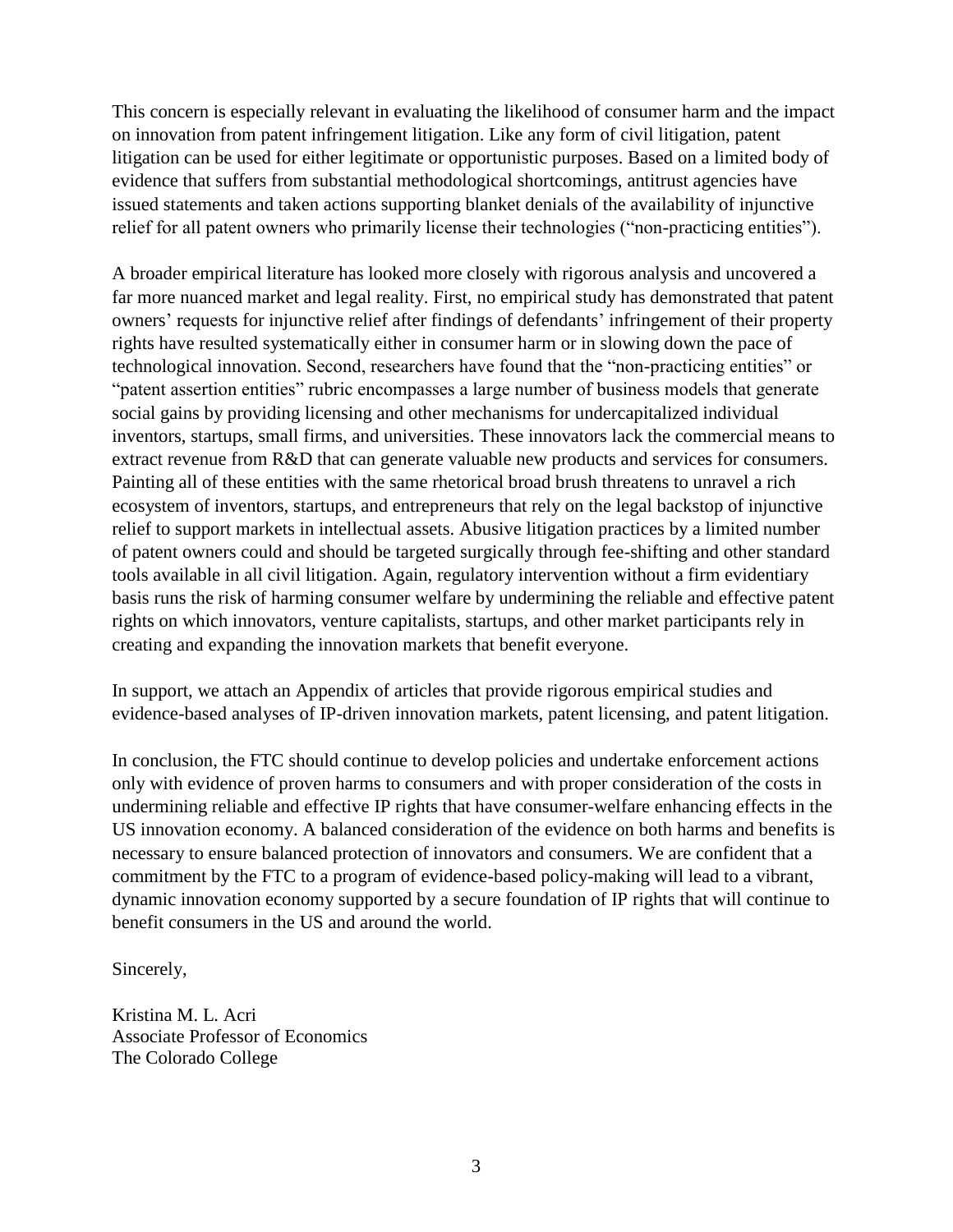This concern is especially relevant in evaluating the likelihood of consumer harm and the impact on innovation from patent infringement litigation. Like any form of civil litigation, patent litigation can be used for either legitimate or opportunistic purposes. Based on a limited body of evidence that suffers from substantial methodological shortcomings, antitrust agencies have issued statements and taken actions supporting blanket denials of the availability of injunctive relief for all patent owners who primarily license their technologies ("non-practicing entities").

A broader empirical literature has looked more closely with rigorous analysis and uncovered a far more nuanced market and legal reality. First, no empirical study has demonstrated that patent owners' requests for injunctive relief after findings of defendants' infringement of their property rights have resulted systematically either in consumer harm or in slowing down the pace of technological innovation. Second, researchers have found that the "non-practicing entities" or "patent assertion entities" rubric encompasses a large number of business models that generate social gains by providing licensing and other mechanisms for undercapitalized individual inventors, startups, small firms, and universities. These innovators lack the commercial means to extract revenue from R&D that can generate valuable new products and services for consumers. Painting all of these entities with the same rhetorical broad brush threatens to unravel a rich ecosystem of inventors, startups, and entrepreneurs that rely on the legal backstop of injunctive relief to support markets in intellectual assets. Abusive litigation practices by a limited number of patent owners could and should be targeted surgically through fee-shifting and other standard tools available in all civil litigation. Again, regulatory intervention without a firm evidentiary basis runs the risk of harming consumer welfare by undermining the reliable and effective patent rights on which innovators, venture capitalists, startups, and other market participants rely in creating and expanding the innovation markets that benefit everyone.

In support, we attach an Appendix of articles that provide rigorous empirical studies and evidence-based analyses of IP-driven innovation markets, patent licensing, and patent litigation.

In conclusion, the FTC should continue to develop policies and undertake enforcement actions only with evidence of proven harms to consumers and with proper consideration of the costs in undermining reliable and effective IP rights that have consumer-welfare enhancing effects in the US innovation economy. A balanced consideration of the evidence on both harms and benefits is necessary to ensure balanced protection of innovators and consumers. We are confident that a commitment by the FTC to a program of evidence-based policy-making will lead to a vibrant, dynamic innovation economy supported by a secure foundation of IP rights that will continue to benefit consumers in the US and around the world.

Sincerely,

Kristina M. L. Acri Associate Professor of Economics The Colorado College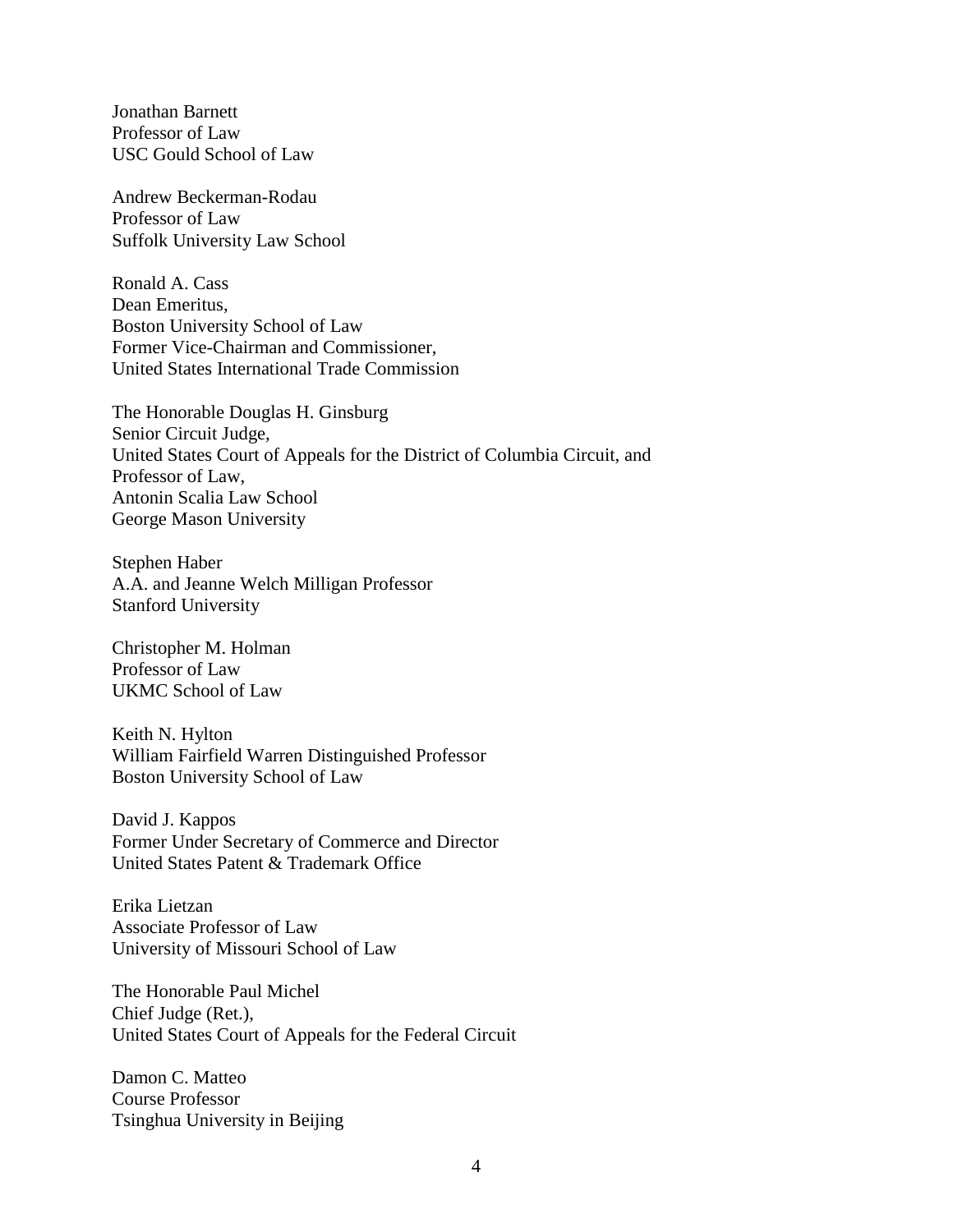Jonathan Barnett Professor of Law USC Gould School of Law

Andrew Beckerman-Rodau Professor of Law Suffolk University Law School

Ronald A. Cass Dean Emeritus, Boston University School of Law Former Vice-Chairman and Commissioner, United States International Trade Commission

The Honorable Douglas H. Ginsburg Senior Circuit Judge, United States Court of Appeals for the District of Columbia Circuit, and Professor of Law, Antonin Scalia Law School George Mason University

Stephen Haber A.A. and Jeanne Welch Milligan Professor Stanford University

Christopher M. Holman Professor of Law UKMC School of Law

Keith N. Hylton William Fairfield Warren Distinguished Professor Boston University School of Law

David J. Kappos Former Under Secretary of Commerce and Director United States Patent & Trademark Office

Erika Lietzan Associate Professor of Law University of Missouri School of Law

The Honorable Paul Michel Chief Judge (Ret.), United States Court of Appeals for the Federal Circuit

Damon C. Matteo Course Professor Tsinghua University in Beijing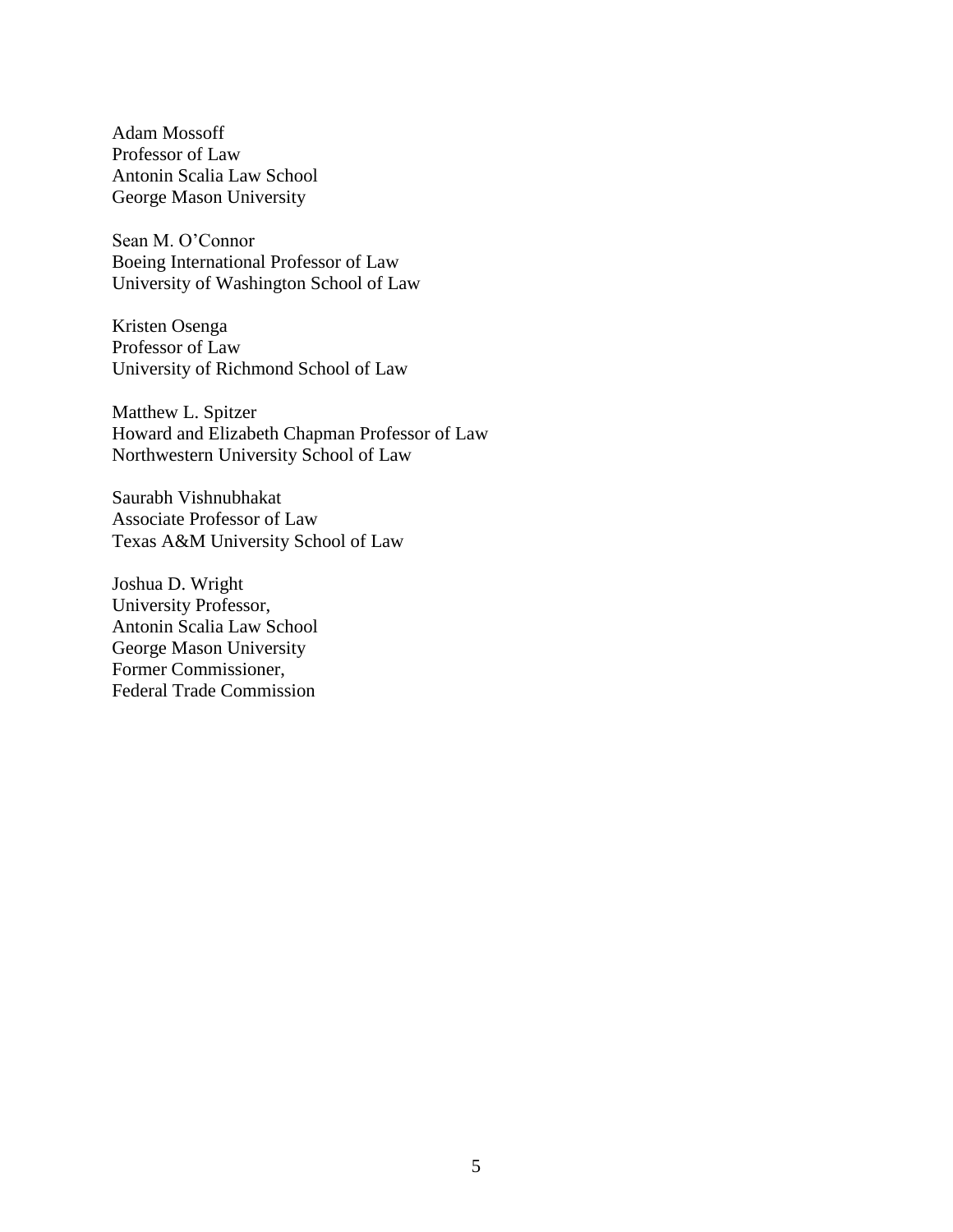Adam Mossoff Professor of Law Antonin Scalia Law School George Mason University

Sean M. O'Connor Boeing International Professor of Law University of Washington School of Law

Kristen Osenga Professor of Law University of Richmond School of Law

Matthew L. Spitzer Howard and Elizabeth Chapman Professor of Law Northwestern University School of Law

Saurabh Vishnubhakat Associate Professor of Law Texas A&M University School of Law

Joshua D. Wright University Professor, Antonin Scalia Law School George Mason University Former Commissioner, Federal Trade Commission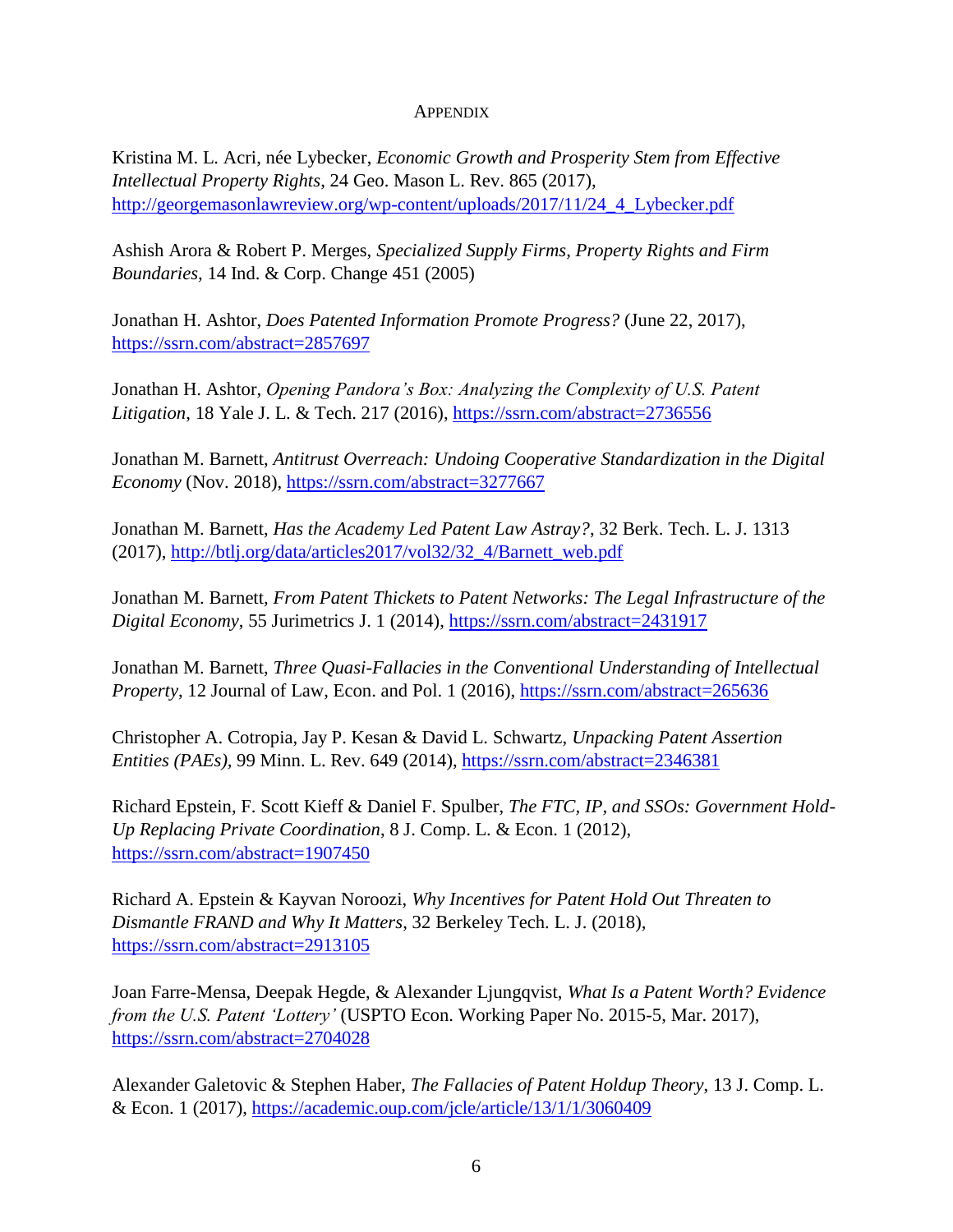## APPENDIX

Kristina M. L. Acri, née Lybecker, *Economic Growth and Prosperity Stem from Effective Intellectual Property Rights*, 24 Geo. Mason L. Rev. 865 (2017), http://georgemasonlawreview.org/wp-content/uploads/2017/11/24\_4\_Lybecker.pdf

Ashish Arora & Robert P. Merges, *Specialized Supply Firms, Property Rights and Firm Boundaries,* 14 Ind. & Corp. Change 451 (2005)

Jonathan H. Ashtor, *Does Patented Information Promote Progress?* (June 22, 2017), https://ssrn.com/abstract=2857697

Jonathan H. Ashtor, *Opening Pandora's Box: Analyzing the Complexity of U.S. Patent Litigation*, 18 Yale J. L. & Tech. 217 (2016), https://ssrn.com/abstract=2736556

Jonathan M. Barnett, *Antitrust Overreach: Undoing Cooperative Standardization in the Digital Economy* (Nov. 2018), https://ssrn.com/abstract=3277667

Jonathan M. Barnett, *Has the Academy Led Patent Law Astray?*, 32 Berk. Tech. L. J. 1313 (2017), http://btlj.org/data/articles2017/vol32/32\_4/Barnett\_web.pdf

Jonathan M. Barnett*, From Patent Thickets to Patent Networks: The Legal Infrastructure of the Digital Economy*, 55 Jurimetrics J. 1 (2014), https://ssrn.com/abstract=2431917

Jonathan M. Barnett, *Three Quasi-Fallacies in the Conventional Understanding of Intellectual Property*, 12 Journal of Law, Econ. and Pol. 1 (2016), https://ssrn.com/abstract=265636

Christopher A. Cotropia, Jay P. Kesan & David L. Schwartz, *Unpacking Patent Assertion Entities (PAEs), 99 Minn. L. Rev. 649 (2014), https://ssrn.com/abstract=2346381* 

Richard Epstein, F. Scott Kieff & Daniel F. Spulber, *The FTC, IP, and SSOs: Government Hold-Up Replacing Private Coordination*, 8 J. Comp. L. & Econ. 1 (2012), https://ssrn.com/abstract=1907450

Richard A. Epstein & Kayvan Noroozi, *Why Incentives for Patent Hold Out Threaten to Dismantle FRAND and Why It Matters*, 32 Berkeley Tech. L. J. (2018), https://ssrn.com/abstract=2913105

Joan Farre-Mensa, Deepak Hegde, & Alexander Ljungqvist, *What Is a Patent Worth? Evidence from the U.S. Patent 'Lottery'* (USPTO Econ. Working Paper No. 2015-5, Mar. 2017), https://ssrn.com/abstract=2704028

Alexander Galetovic & Stephen Haber, *The Fallacies of Patent Holdup Theory*, 13 J. Comp. L. & Econ. 1 (2017), https://academic.oup.com/jcle/article/13/1/1/3060409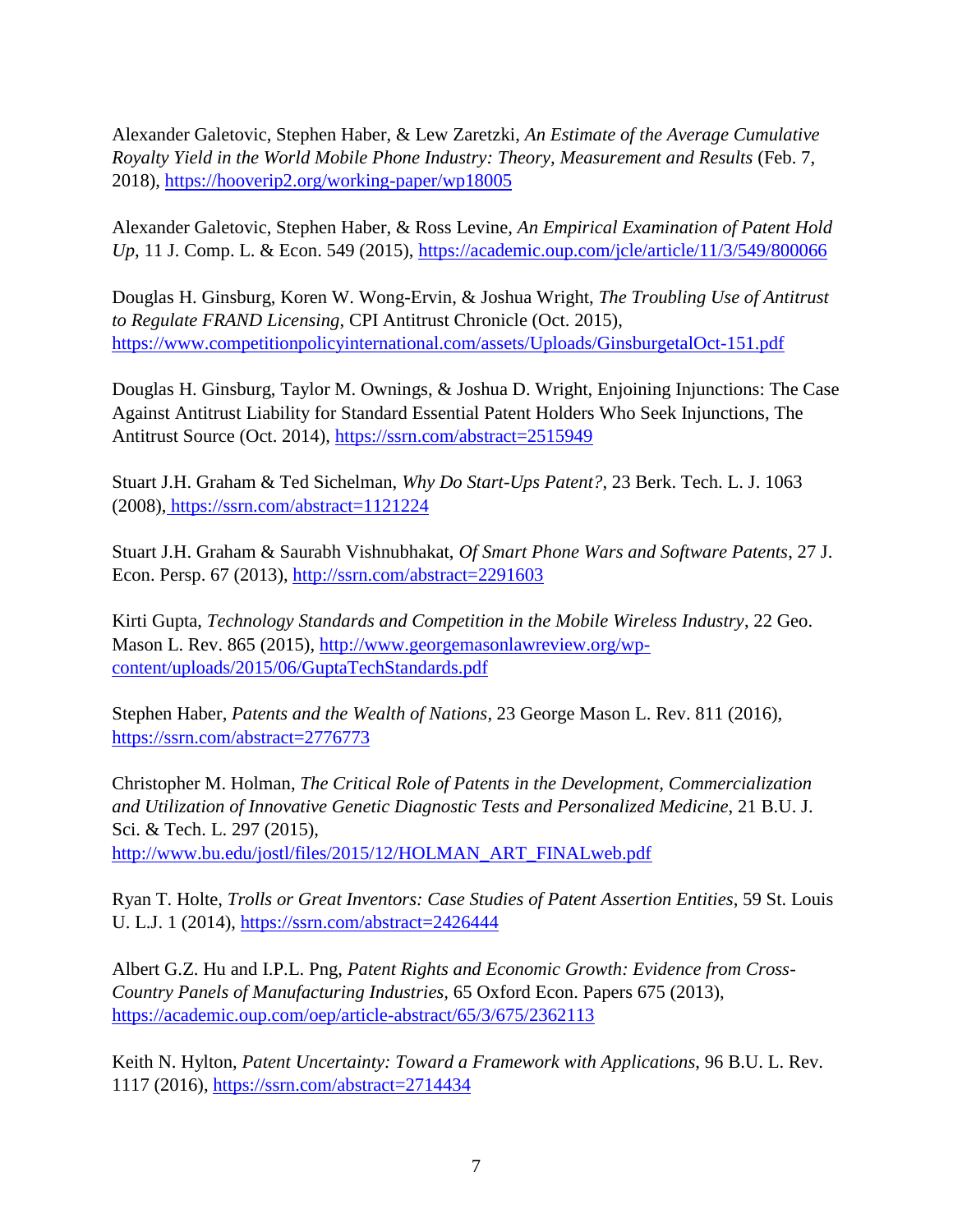Alexander Galetovic, Stephen Haber, & Lew Zaretzki, *An Estimate of the Average Cumulative Royalty Yield in the World Mobile Phone Industry: Theory, Measurement and Results* (Feb. 7, 2018), https://hooverip2.org/working-paper/wp18005

Alexander Galetovic, Stephen Haber, & Ross Levine, *An Empirical Examination of Patent Hold Up*, 11 J. Comp. L. & Econ. 549 (2015), https://academic.oup.com/jcle/article/11/3/549/800066

Douglas H. Ginsburg, Koren W. Wong-Ervin, & Joshua Wright, *The Troubling Use of Antitrust to Regulate FRAND Licensing*, CPI Antitrust Chronicle (Oct. 2015), https://www.competitionpolicyinternational.com/assets/Uploads/GinsburgetalOct-151.pdf

Douglas H. Ginsburg, Taylor M. Ownings, & Joshua D. Wright, Enjoining Injunctions: The Case Against Antitrust Liability for Standard Essential Patent Holders Who Seek Injunctions, The Antitrust Source (Oct. 2014), https://ssrn.com/abstract=2515949

Stuart J.H. Graham & Ted Sichelman, *Why Do Start-Ups Patent?*, 23 Berk. Tech. L. J. 1063 (2008), https://ssrn.com/abstract=1121224

Stuart J.H. Graham & Saurabh Vishnubhakat, *Of Smart Phone Wars and Software Patents*, 27 J. Econ. Persp. 67 (2013), http://ssrn.com/abstract=2291603

Kirti Gupta, *Technology Standards and Competition in the Mobile Wireless Industry*, 22 Geo. Mason L. Rev. 865 (2015), http://www.georgemasonlawreview.org/wpcontent/uploads/2015/06/GuptaTechStandards.pdf

Stephen Haber, *Patents and the Wealth of Nations*, 23 George Mason L. Rev. 811 (2016), https://ssrn.com/abstract=2776773

Christopher M. Holman, *The Critical Role of Patents in the Development, Commercialization and Utilization of Innovative Genetic Diagnostic Tests and Personalized Medicine*, 21 B.U. J. Sci. & Tech. L. 297 (2015), http://www.bu.edu/jostl/files/2015/12/HOLMAN\_ART\_FINALweb.pdf

Ryan T. Holte, *Trolls or Great Inventors: Case Studies of Patent Assertion Entities*, 59 St. Louis U. L.J. 1 (2014), https://ssrn.com/abstract=2426444

Albert G.Z. Hu and I.P.L. Png, *Patent Rights and Economic Growth: Evidence from Cross-Country Panels of Manufacturing Industries,* 65 Oxford Econ. Papers 675 (2013), https://academic.oup.com/oep/article-abstract/65/3/675/2362113

Keith N. Hylton, *Patent Uncertainty: Toward a Framework with Applications*, 96 B.U. L. Rev. 1117 (2016), https://ssrn.com/abstract=2714434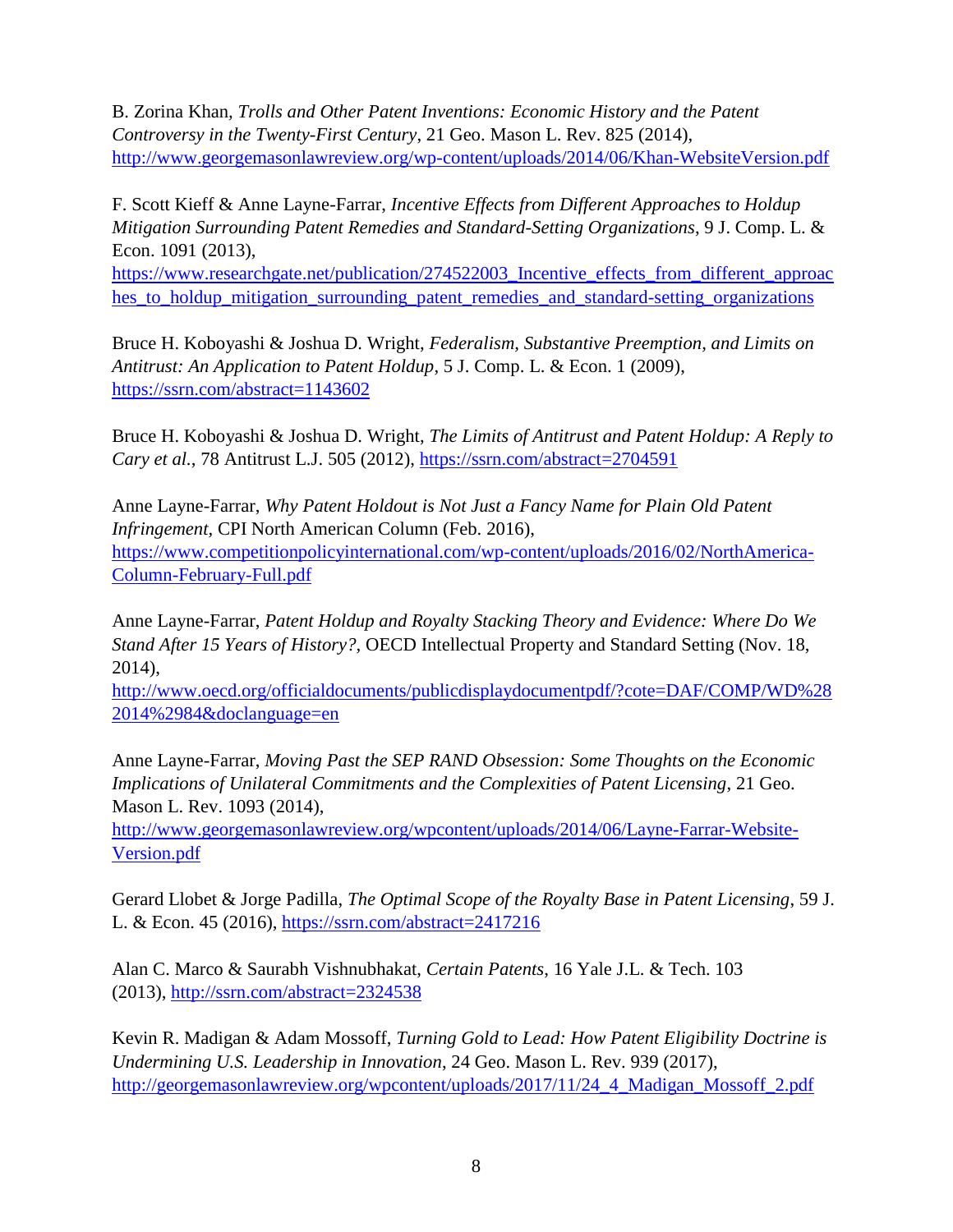B. Zorina Khan*, Trolls and Other Patent Inventions: Economic History and the Patent Controversy in the Twenty-First Century*, 21 Geo. Mason L. Rev. 825 (2014), http://www.georgemasonlawreview.org/wp-content/uploads/2014/06/Khan-WebsiteVersion.pdf

F. Scott Kieff & Anne Layne-Farrar, *Incentive Effects from Different Approaches to Holdup Mitigation Surrounding Patent Remedies and Standard-Setting Organizations*, 9 J. Comp. L. & Econ. 1091 (2013),

https://www.researchgate.net/publication/274522003 Incentive effects from different approac hes\_to\_holdup\_mitigation\_surrounding\_patent\_remedies\_and\_standard-setting\_organizations

Bruce H. Koboyashi & Joshua D. Wright, *Federalism, Substantive Preemption, and Limits on Antitrust: An Application to Patent Holdup*, 5 J. Comp. L. & Econ. 1 (2009), https://ssrn.com/abstract=1143602

Bruce H. Koboyashi & Joshua D. Wright, *The Limits of Antitrust and Patent Holdup: A Reply to Cary et al.*, 78 Antitrust L.J. 505 (2012), https://ssrn.com/abstract=2704591

Anne Layne-Farrar, *Why Patent Holdout is Not Just a Fancy Name for Plain Old Patent Infringement,* CPI North American Column (Feb. 2016),

https://www.competitionpolicyinternational.com/wp-content/uploads/2016/02/NorthAmerica-Column-February-Full.pdf

Anne Layne-Farrar, *Patent Holdup and Royalty Stacking Theory and Evidence: Where Do We Stand After 15 Years of History?,* OECD Intellectual Property and Standard Setting (Nov. 18, 2014),

http://www.oecd.org/officialdocuments/publicdisplaydocumentpdf/?cote=DAF/COMP/WD%28 2014%2984&doclanguage=en

Anne Layne-Farrar, *Moving Past the SEP RAND Obsession: Some Thoughts on the Economic Implications of Unilateral Commitments and the Complexities of Patent Licensing*, 21 Geo. Mason L. Rev. 1093 (2014),

http://www.georgemasonlawreview.org/wpcontent/uploads/2014/06/Layne-Farrar-Website-Version.pdf

Gerard Llobet & Jorge Padilla, *The Optimal Scope of the Royalty Base in Patent Licensing*, 59 J. L. & Econ. 45 (2016), https://ssrn.com/abstract=2417216

Alan C. Marco & Saurabh Vishnubhakat, *Certain Patents*, 16 Yale J.L. & Tech. 103 (2013), http://ssrn.com/abstract=2324538

Kevin R. Madigan & Adam Mossoff, *Turning Gold to Lead: How Patent Eligibility Doctrine is Undermining U.S. Leadership in Innovation*, 24 Geo. Mason L. Rev. 939 (2017), http://georgemasonlawreview.org/wpcontent/uploads/2017/11/24\_4\_Madigan\_Mossoff\_2.pdf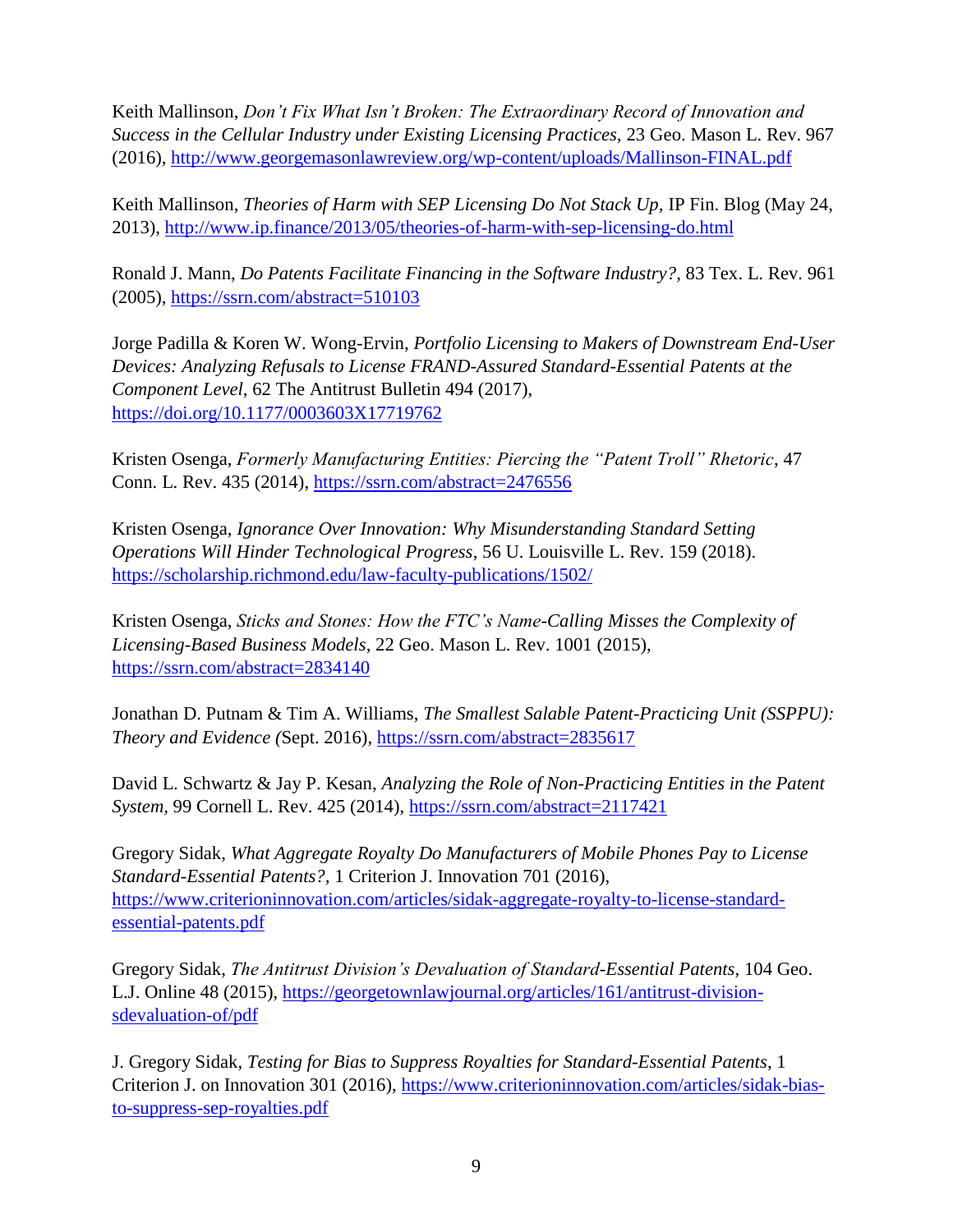Keith Mallinson, *Don't Fix What Isn't Broken: The Extraordinary Record of Innovation and Success in the Cellular Industry under Existing Licensing Practices,* 23 Geo. Mason L. Rev. 967 (2016), http://www.georgemasonlawreview.org/wp-content/uploads/Mallinson-FINAL.pdf

Keith Mallinson, *Theories of Harm with SEP Licensing Do Not Stack Up,* IP Fin. Blog (May 24, 2013), http://www.ip.finance/2013/05/theories-of-harm-with-sep-licensing-do.html

Ronald J. Mann, *Do Patents Facilitate Financing in the Software Industry?*, 83 Tex. L. Rev. 961 (2005), https://ssrn.com/abstract=510103

Jorge Padilla & Koren W. Wong-Ervin, *Portfolio Licensing to Makers of Downstream End-User Devices: Analyzing Refusals to License FRAND-Assured Standard-Essential Patents at the Component Level*, 62 The Antitrust Bulletin 494 (2017), https://doi.org/10.1177/0003603X17719762

Kristen Osenga, *Formerly Manufacturing Entities: Piercing the "Patent Troll" Rhetoric*, 47 Conn. L. Rev. 435 (2014), https://ssrn.com/abstract=2476556

Kristen Osenga, *Ignorance Over Innovation: Why Misunderstanding Standard Setting Operations Will Hinder Technological Progress*, 56 U. Louisville L. Rev. 159 (2018). https://scholarship.richmond.edu/law-faculty-publications/1502/

Kristen Osenga, *Sticks and Stones: How the FTC's Name-Calling Misses the Complexity of Licensing-Based Business Models*, 22 Geo. Mason L. Rev. 1001 (2015), https://ssrn.com/abstract=2834140

Jonathan D. Putnam & Tim A. Williams, *The Smallest Salable Patent-Practicing Unit (SSPPU): Theory and Evidence (*Sept. 2016), https://ssrn.com/abstract=2835617

David L. Schwartz & Jay P. Kesan, *Analyzing the Role of Non-Practicing Entities in the Patent System,* 99 Cornell L. Rev. 425 (2014), https://ssrn.com/abstract=2117421

Gregory Sidak, *What Aggregate Royalty Do Manufacturers of Mobile Phones Pay to License Standard-Essential Patents?,* 1 Criterion J. Innovation 701 (2016), https://www.criterioninnovation.com/articles/sidak-aggregate-royalty-to-license-standardessential-patents.pdf

Gregory Sidak, *The Antitrust Division's Devaluation of Standard-Essential Patents*, 104 Geo. L.J. Online 48 (2015), https://georgetownlawjournal.org/articles/161/antitrust-divisionsdevaluation-of/pdf

J. Gregory Sidak, *Testing for Bias to Suppress Royalties for Standard-Essential Patents*, 1 Criterion J. on Innovation 301 (2016), https://www.criterioninnovation.com/articles/sidak-biasto-suppress-sep-royalties.pdf